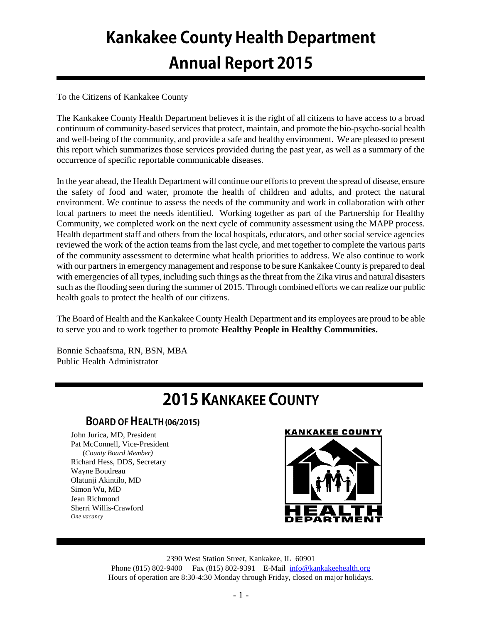# **Kankakee County Health Department Annual Report 2015**

## To the Citizens of Kankakee County

The Kankakee County Health Department believes it is the right of all citizens to have access to a broad continuum of community-based services that protect, maintain, and promote the bio-psycho-social health and well-being of the community, and provide a safe and healthy environment. We are pleased to present this report which summarizes those services provided during the past year, as well as a summary of the occurrence of specific reportable communicable diseases.

In the year ahead, the Health Department will continue our efforts to prevent the spread of disease, ensure the safety of food and water, promote the health of children and adults, and protect the natural environment. We continue to assess the needs of the community and work in collaboration with other local partners to meet the needs identified. Working together as part of the Partnership for Healthy Community, we completed work on the next cycle of community assessment using the MAPP process. Health department staff and others from the local hospitals, educators, and other social service agencies reviewed the work of the action teams from the last cycle, and met together to complete the various parts of the community assessment to determine what health priorities to address. We also continue to work with our partners in emergency management and response to be sure Kankakee County is prepared to deal with emergencies of all types, including such things as the threat from the Zika virus and natural disasters such as the flooding seen during the summer of 2015. Through combined efforts we can realize our public health goals to protect the health of our citizens.

The Board of Health and the Kankakee County Health Department and its employees are proud to be able to serve you and to work together to promote **Healthy People in Healthy Communities.**

Bonnie Schaafsma, RN, BSN, MBA Public Health Administrator

# **2015 KANKAKEE COUNTY**

# **BOARD OF HEALTH (06/2015)**

John Jurica, MD, President Pat McConnell, Vice-President (*County Board Member)* Richard Hess, DDS, Secretary Wayne Boudreau Olatunji Akintilo, MD Simon Wu, MD Jean Richmond Sherri Willis-Crawford *One vacancy*



2390 West Station Street, Kankakee, IL 60901 Phone (815) 802-9400 Fax (815) 802-9391 E-Mail [info@kankakeehealth.org](mailto:pkankake@idphnet.com) Hours of operation are 8:30-4:30 Monday through Friday, closed on major holidays.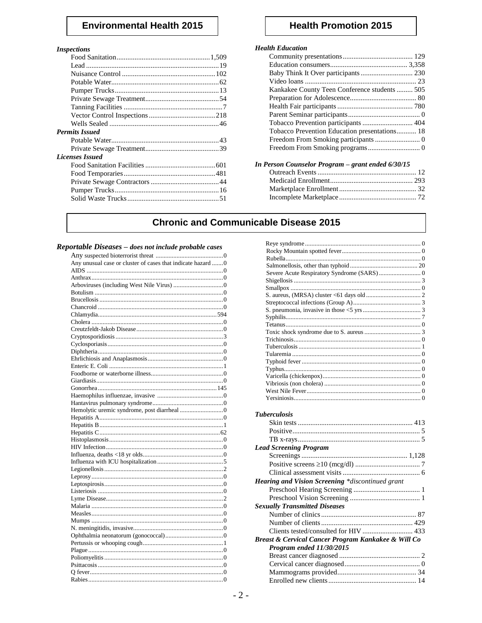# **Environmental Health 2015**

#### **Inspections**

| 1115DCC110115          |  |
|------------------------|--|
|                        |  |
|                        |  |
|                        |  |
|                        |  |
|                        |  |
|                        |  |
|                        |  |
|                        |  |
|                        |  |
| <b>Permits Issued</b>  |  |
|                        |  |
|                        |  |
| <b>Licenses Issued</b> |  |
|                        |  |
|                        |  |
|                        |  |
|                        |  |
|                        |  |
|                        |  |

# **Health Promotion 2015**

### **Health Education**

| Kankakee County Teen Conference students 505  |  |
|-----------------------------------------------|--|
|                                               |  |
|                                               |  |
|                                               |  |
|                                               |  |
| Tobacco Prevention Education presentations 18 |  |
|                                               |  |
|                                               |  |
|                                               |  |

| In Person Counselor Program - grant ended 6/30/15 |  |  |
|---------------------------------------------------|--|--|
|                                                   |  |  |
|                                                   |  |  |
|                                                   |  |  |
|                                                   |  |  |

# **Chronic and Communicable Disease 2015**

#### Reportable Diseases - does not include probable cases

| Any unusual case or cluster of cases that indicate hazard  0 |
|--------------------------------------------------------------|
|                                                              |
|                                                              |
|                                                              |
|                                                              |
|                                                              |
|                                                              |
|                                                              |
|                                                              |
|                                                              |
|                                                              |
|                                                              |
|                                                              |
|                                                              |
|                                                              |
|                                                              |
|                                                              |
|                                                              |
|                                                              |
|                                                              |
|                                                              |
|                                                              |
|                                                              |
|                                                              |
|                                                              |
|                                                              |
|                                                              |
|                                                              |
|                                                              |
|                                                              |
|                                                              |
|                                                              |
|                                                              |
|                                                              |
|                                                              |
|                                                              |
|                                                              |
|                                                              |
|                                                              |
|                                                              |
|                                                              |
|                                                              |
|                                                              |
|                                                              |
|                                                              |

| <b>Tuberculosis</b>                                     |  |
|---------------------------------------------------------|--|
|                                                         |  |
|                                                         |  |
|                                                         |  |
|                                                         |  |
| <b>Lead Screening Program</b>                           |  |
|                                                         |  |
|                                                         |  |
|                                                         |  |
| <b>Hearing and Vision Screening *discontinued grant</b> |  |
|                                                         |  |
|                                                         |  |
| <b>Sexually Transmitted Diseases</b>                    |  |
|                                                         |  |
|                                                         |  |
| Clients tested/consulted for HIV  433                   |  |
| Breast & Cervical Cancer Program Kankakee & Will Co     |  |
| Program ended 11/30/2015                                |  |
|                                                         |  |
|                                                         |  |
|                                                         |  |
|                                                         |  |
|                                                         |  |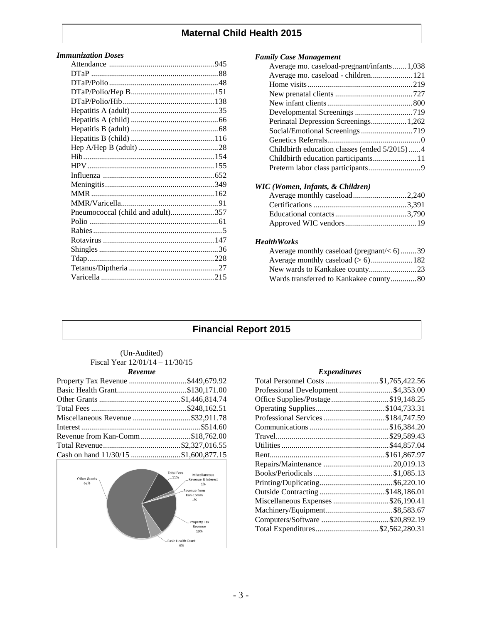# **Maternal Child Health 2015**

#### *Immunization Doses*

| Pneumococcal (child and adult)357 |  |
|-----------------------------------|--|
|                                   |  |
|                                   |  |
|                                   |  |
|                                   |  |
|                                   |  |
|                                   |  |
|                                   |  |
|                                   |  |

#### *Family Case Management*

| Average mo. caseload-pregnant/infants1,038   |  |
|----------------------------------------------|--|
| Average mo. caseload - children 121          |  |
|                                              |  |
|                                              |  |
|                                              |  |
|                                              |  |
|                                              |  |
|                                              |  |
|                                              |  |
| Childbirth education classes (ended 5/2015)4 |  |
|                                              |  |
|                                              |  |
|                                              |  |

#### *WIC (Women, Infants, & Children)*

#### *HealthWorks*

| Average monthly caseload (pregnant/ $< 6$ )39 |  |
|-----------------------------------------------|--|
|                                               |  |
|                                               |  |
| Wards transferred to Kankakee county80        |  |

# **Financial Report 2015**

#### (Un-Audited) Fiscal Year 12/01/14 – 11/30/15 *Revenue*

| Property Tax Revenue \$449,679.92    |  |
|--------------------------------------|--|
|                                      |  |
|                                      |  |
|                                      |  |
| Miscellaneous Revenue \$32,911.78    |  |
|                                      |  |
| Revenue from Kan-Comm\$18,762.00     |  |
|                                      |  |
| Cash on hand 11/30/15 \$1,600,877.15 |  |



#### *Expenditures*

| Total Personnel Costs \$1,765,422.56 |
|--------------------------------------|
| Professional Development \$4,353.00  |
| Office Supplies/Postage\$19,148.25   |
|                                      |
|                                      |
|                                      |
|                                      |
|                                      |
|                                      |
|                                      |
|                                      |
|                                      |
| Outside Contracting \$148,186.01     |
| Miscellaneous Expenses \$26,190.41   |
|                                      |
| Computers/Software \$20,892.19       |
| Total Expenditures\$2,562,280.31     |
|                                      |